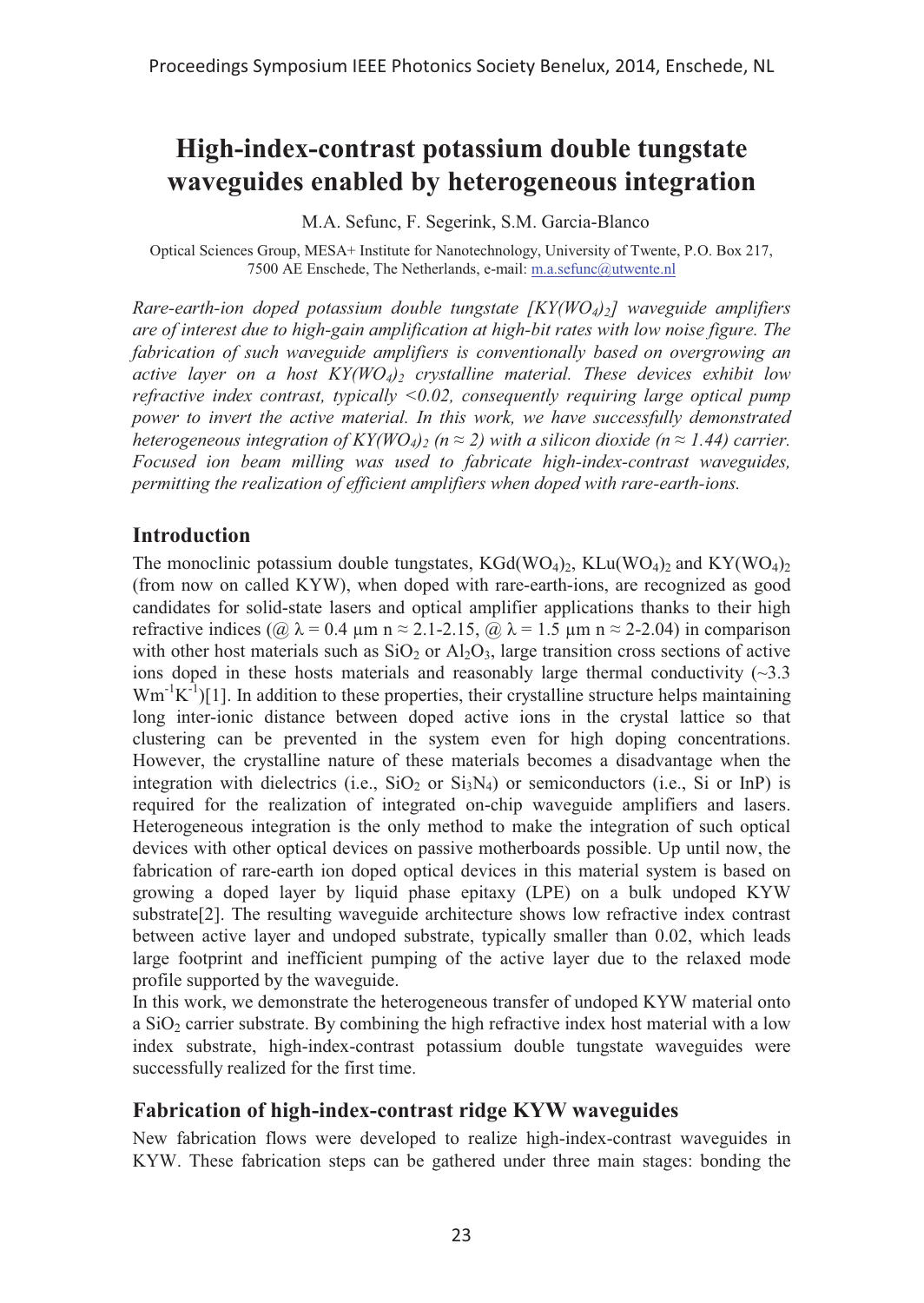# **High-index-contrast potassium double tungstate waveguides enabled by heterogeneous integration**

M.A. Sefunc, F. Segerink, S.M. Garcia-Blanco

Optical Sciences Group, MESA+ Institute for Nanotechnology, University of Twente, P.O. Box 217, 7500 AE Enschede, The Netherlands, e-mail: m.a.sefunc@utwente.nl

*Rare-earth-ion doped potassium double tungstate [KY(WO4)<sub>2</sub>] waveguide amplifiers are of interest due to high-gain amplification at high-bit rates with low noise figure. The fabrication of such waveguide amplifiers is conventionally based on overgrowing an active layer on a host KY(WO4)2 crystalline material. These devices exhibit low refractive index contrast, typically <0.02, consequently requiring large optical pump power to invert the active material. In this work, we have successfully demonstrated heterogeneous integration of KY(WO<sub>4</sub>)<sub>2</sub> (n*  $\approx$  *2) with a silicon dioxide (n*  $\approx$  *1.44) carrier. Focused ion beam milling was used to fabricate high-index-contrast waveguides, permitting the realization of efficient amplifiers when doped with rare-earth-ions.* 

### **Introduction**

The monoclinic potassium double tungstates,  $KGd(WO_4)_2$ ,  $KLu(WO_4)_2$  and  $KY(WO_4)_2$ (from now on called KYW), when doped with rare-earth-ions, are recognized as good candidates for solid-state lasers and optical amplifier applications thanks to their high refractive indices ( $\omega \lambda = 0.4$  μm n  $\approx 2.1$ -2.15,  $\omega \lambda = 1.5$  μm n  $\approx 2$ -2.04) in comparison with other host materials such as  $SiO<sub>2</sub>$  or  $Al<sub>2</sub>O<sub>3</sub>$ , large transition cross sections of active ions doped in these hosts materials and reasonably large thermal conductivity  $(\sim 3.3$  $Wm^{-1}K^{-1}$ [1]. In addition to these properties, their crystalline structure helps maintaining long inter-ionic distance between doped active ions in the crystal lattice so that clustering can be prevented in the system even for high doping concentrations. However, the crystalline nature of these materials becomes a disadvantage when the integration with dielectrics (i.e.,  $SiO_2$  or  $Si<sub>3</sub>N<sub>4</sub>$ ) or semiconductors (i.e., Si or InP) is required for the realization of integrated on-chip waveguide amplifiers and lasers. Heterogeneous integration is the only method to make the integration of such optical devices with other optical devices on passive motherboards possible. Up until now, the fabrication of rare-earth ion doped optical devices in this material system is based on growing a doped layer by liquid phase epitaxy (LPE) on a bulk undoped KYW substrate[2]. The resulting waveguide architecture shows low refractive index contrast between active layer and undoped substrate, typically smaller than 0.02, which leads large footprint and inefficient pumping of the active layer due to the relaxed mode profile supported by the waveguide.

In this work, we demonstrate the heterogeneous transfer of undoped KYW material onto a  $SiO<sub>2</sub>$  carrier substrate. By combining the high refractive index host material with a low index substrate, high-index-contrast potassium double tungstate waveguides were successfully realized for the first time.

### **Fabrication of high-index-contrast ridge KYW waveguides**

New fabrication flows were developed to realize high-index-contrast waveguides in KYW. These fabrication steps can be gathered under three main stages: bonding the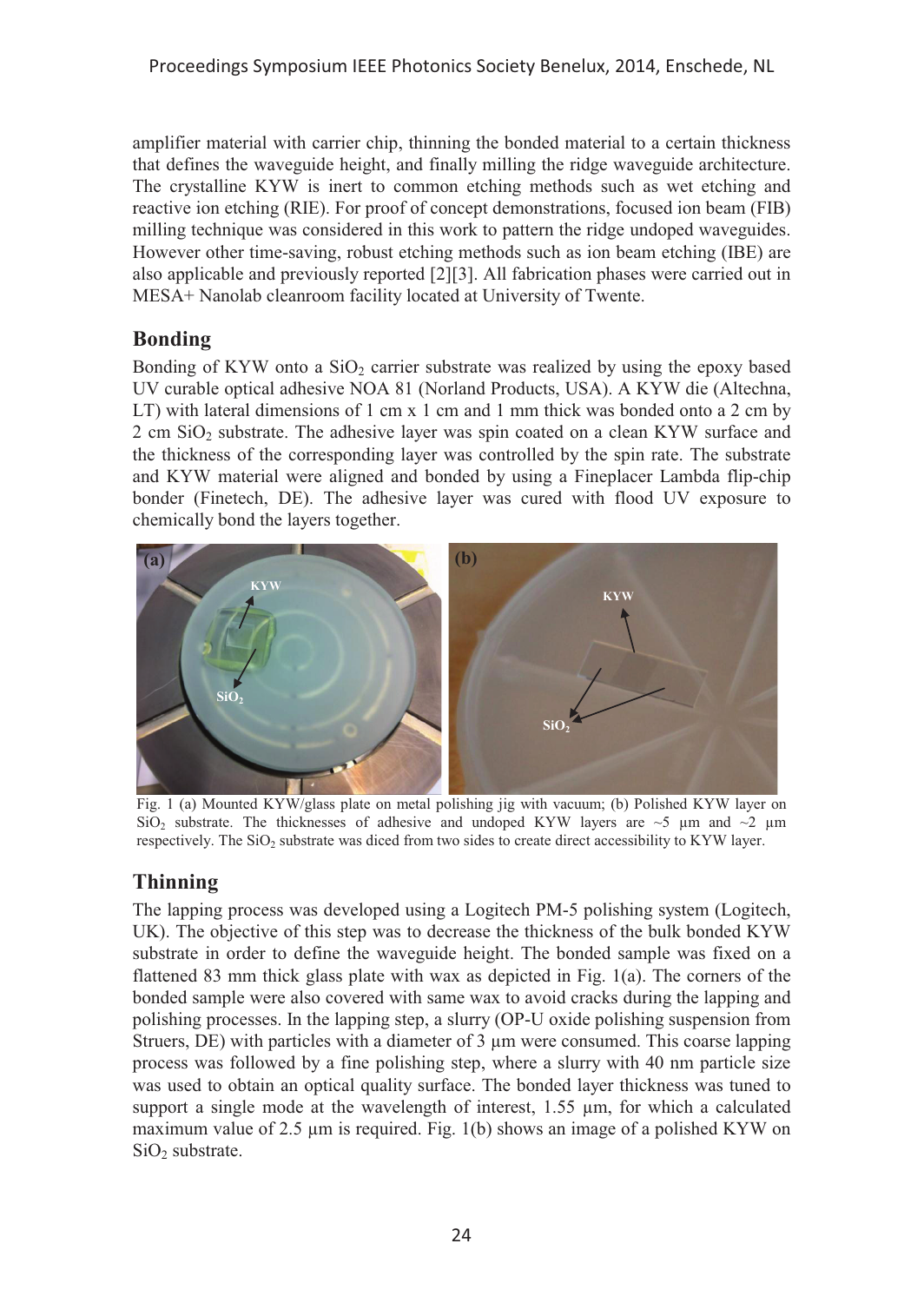amplifier material with carrier chip, thinning the bonded material to a certain thickness that defines the waveguide height, and finally milling the ridge waveguide architecture. The crystalline KYW is inert to common etching methods such as wet etching and reactive ion etching (RIE). For proof of concept demonstrations, focused ion beam (FIB) milling technique was considered in this work to pattern the ridge undoped waveguides. However other time-saving, robust etching methods such as ion beam etching (IBE) are also applicable and previously reported [2][3]. All fabrication phases were carried out in MESA+ Nanolab cleanroom facility located at University of Twente.

# **Bonding**

Bonding of KYW onto a  $SiO<sub>2</sub>$  carrier substrate was realized by using the epoxy based UV curable optical adhesive NOA 81 (Norland Products, USA). A KYW die (Altechna, LT) with lateral dimensions of 1 cm x 1 cm and 1 mm thick was bonded onto a 2 cm by  $2 \text{ cm }$  SiO<sub>2</sub> substrate. The adhesive layer was spin coated on a clean KYW surface and the thickness of the corresponding layer was controlled by the spin rate. The substrate and KYW material were aligned and bonded by using a Fineplacer Lambda flip-chip bonder (Finetech, DE). The adhesive layer was cured with flood UV exposure to chemically bond the layers together.



Fig. 1 (a) Mounted KYW/glass plate on metal polishing jig with vacuum; (b) Polished KYW layer on SiO<sub>2</sub> substrate. The thicknesses of adhesive and undoped KYW layers are  $\sim$ 5  $\mu$ m and  $\sim$ 2  $\mu$ m respectively. The SiO<sub>2</sub> substrate was diced from two sides to create direct accessibility to KYW layer.

# **Thinning**

The lapping process was developed using a Logitech PM-5 polishing system (Logitech, UK). The objective of this step was to decrease the thickness of the bulk bonded KYW substrate in order to define the waveguide height. The bonded sample was fixed on a flattened 83 mm thick glass plate with wax as depicted in Fig. 1(a). The corners of the bonded sample were also covered with same wax to avoid cracks during the lapping and polishing processes. In the lapping step, a slurry (OP-U oxide polishing suspension from Struers, DE) with particles with a diameter of 3 μm were consumed. This coarse lapping process was followed by a fine polishing step, where a slurry with 40 nm particle size was used to obtain an optical quality surface. The bonded layer thickness was tuned to support a single mode at the wavelength of interest, 1.55 μm, for which a calculated maximum value of 2.5 μm is required. Fig. 1(b) shows an image of a polished KYW on SiO<sub>2</sub> substrate.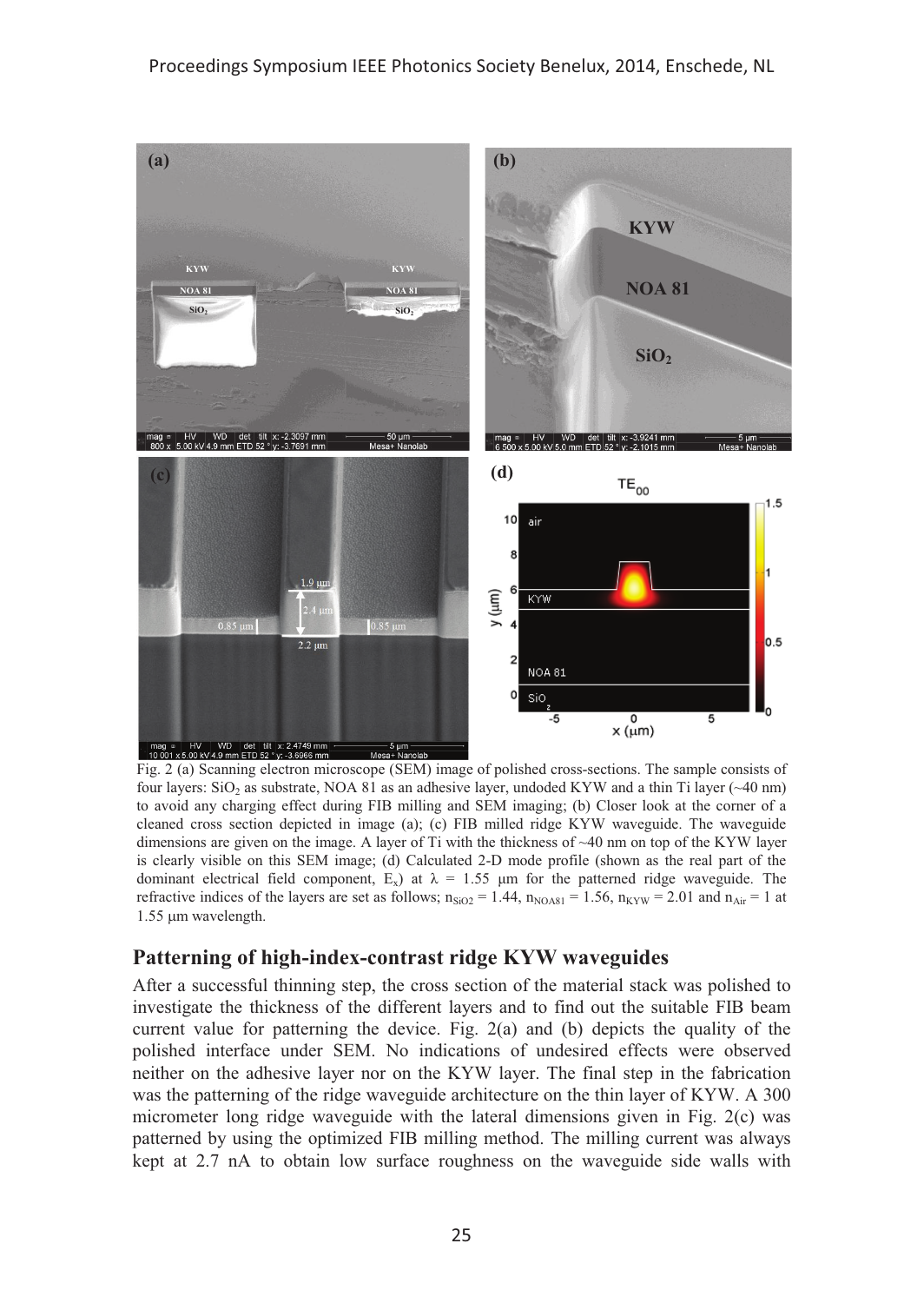

Fig. 2 (a) Scanning electron microscope (SEM) image of polished cross-sections. The sample consists of four layers: SiO<sub>2</sub> as substrate, NOA 81 as an adhesive layer, undoded KYW and a thin Ti layer (~40 nm) to avoid any charging effect during FIB milling and SEM imaging; (b) Closer look at the corner of a cleaned cross section depicted in image (a); (c) FIB milled ridge KYW waveguide. The waveguide dimensions are given on the image. A layer of Ti with the thickness of ~40 nm on top of the KYW layer is clearly visible on this SEM image; (d) Calculated 2-D mode profile (shown as the real part of the dominant electrical field component,  $E_x$ ) at  $\lambda = 1.55$  µm for the patterned ridge waveguide. The refractive indices of the layers are set as follows;  $n_{SiO2} = 1.44$ ,  $n_{NOAB1} = 1.56$ ,  $n_{KYW} = 2.01$  and  $n_{Air} = 1$  at 1.55 um wavelength.

### **Patterning of high-index-contrast ridge KYW waveguides**

After a successful thinning step, the cross section of the material stack was polished to investigate the thickness of the different layers and to find out the suitable FIB beam current value for patterning the device. Fig.  $2(a)$  and (b) depicts the quality of the polished interface under SEM. No indications of undesired effects were observed neither on the adhesive layer nor on the KYW layer. The final step in the fabrication was the patterning of the ridge waveguide architecture on the thin layer of KYW. A 300 micrometer long ridge waveguide with the lateral dimensions given in Fig. 2(c) was patterned by using the optimized FIB milling method. The milling current was always kept at 2.7 nA to obtain low surface roughness on the waveguide side walls with